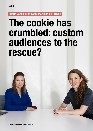**Eliëtte Vaal, Vonne Laan, Matthias de Bruyne** 

# **The cookie has crumbled: custom audiences to the rescue?**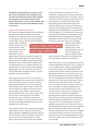**The digital marketing industry is in reform. For the past 25 years, third-party cookie-tracking has been one of the most important tools for online targeting and retargeting. How do things stand now? Are cookies future-proof or has the cookie crumbled, with custom audiences on social media platforms coming to the rescue?** 

## **Cookies and the applicable legal framework**

We all know the standard phrasing in cookie statements. But cookies and similar technologies are in essence nothing more than small bits of data that can be placed on your laptop or other device and used to recognize website visitors. They are therefore ideal for marketing

purposes, where recognizing who has clicked on your ad is essential. However, using cookies means facing tough legal challenges. In the Netherlands, two legal

# "Using cookies means facing tough legal challenges."

misleading cookie banners that do not present consent to and refusal of cookies as equivalent options do not meet the requirements of German law. Excessive cookie banners and pop-ups would therefore appear to be inevitable. All hope is now vested in new legislation to resolve this issue. On February 10th, the Council of the European Union finally published a new proposal for an ePrivacy Regulation. It is the fourteenth in a long series of attempts by EU presidencies to find common ground following the European Commission's 2017 proposal. Ambassadors from the Council of the European Union have agreed on this latest version for a negotiating

that pre-ticked boxes are not allowed (C-61/19). Furthermore, a regional court in Germany has held that

> mandate, finally leading to some movement in the legislative process of the ePrivacy Regulation. The next step in the process is the trilogue, in which the Parlia-

regimes apply to the online tracking of customers: the ePrivacy and the GDPR regimes. The current ePrivacy regime is based on the ePrivacy Directive (2002/58/EC, amended by Directive 2009/136/EC), implemented in the Telecommunications Act, while the GDPR has been transposed into the General Data Protection Regulation Implementation Act. The combination of the ePrivacy and the GDPR regimes determines whether an opt-in is required or an opt-out is sufficient.

When targeting practices involve the use of cookies (or similar technologies such as pixels, tags, or beacons), the main rule is that prior consent is required. Under the Dutch Telecommunications Act, the use of cookies for analytic purposes also requires an opt-in, except where they have limited or no impact on the privacy of endusers (so-called 'privacy friendly' analytic cookies). Strictly functional cookies do not require consent either. This is the case if their sole purpose is to facilitate communication over an electronic communication network, or if storage of or access to the data is strictly necessary for providing the information-society service requested by the website visitor.

Thus, under the ePrivacy rules, targeting and retargeting cookies requires consent. Consent is any freely given, specific, informed, unambiguous and advance indication of the data subject's wishes. This implies a real choice as well as control when providing consent via cookie banners. The European Court of Justice has confirmed

ment, Council and Commission of the European Union will come together to hammer out the final text.

Just like the GDPR, the ePrivacy Regulation is part of the EU Digital Single Market Strategy. Its aim is to update the current, outdated ePrivacy regime by safeguarding the privacy of the end-users, the confidentiality of their communications, and the integrity of their devices. And although this proposal does not explicitly mention the option of providing consent via browser settings as was the case in the proposal by the European Commission, it does seem to give a little ground in this regard. Having regard to the prevailing consent fatigue, the recitals state: "For example, an end-user can give consent to the use of certain types of cookies by whitelisting one or several providers for their specified purposes." Thus, consent via browser settings seems to be allowed, but only if the browser settings offer the possibility of providing granular consent as regards the parties and purposes concerned. If they do not, then cookie banners and cookie pop-ups will continue to be a necessary evil. Unless you don't use cookies. Recently, for instance, publishers such as the New York Times and the advertising platform STER announced that they have abandoned the use of third-party tracking cookies. With Google Chrome's announcement that it will phase out all support for third-party cookies over the next year, thus joining Safari and Firefox who are restricting third-party cookies in their web browsers, the end of the third-party cookie era seems nigh.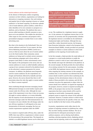## **Custom audiences and the related legal framework**

In the absence of third-party cookies recognizing customers on their websites, organisations are looking for alternatives to targeting customers. One such existing and popular form of online targeting is known as 'custom audiences' or 'list-based' targeting. An advertiser uploads a list of email addresses, phone numbers, cookie-IDs or other identifiers of its own customers or prospects to a platform, such as Facebook. The platform then uses a process called matching to identify customers or prospects on its own platform. This enables the advertiser to either target its own customers and prospects with a personalized campaign or exclude them to save online advertising costs.

But what is the situation in the Netherlands? How are custom audiences used here? At our request, the Data Driven Marketing Association (DDMA) carried out a survey to find out more about the use of custom audiences in the Dutch market. Most commonly, custom audiences are being used to exclude current customers from marketing campaigns and to focus solely on prospects (most likely to reduce advertisement costs). The majority of the participants in the survey also use custom audiences to create so-called lookalike audiences, a group of new customers selected by the platform based on the advertiser's common parameters for current customers. In addition, the platforms most frequently used for custom audiences (by the respondents) are Google and Facebook, followed by LinkedIn and Instagram. However, the survey showed that there is still uncertainty about the rules that apply to custom audiences. When is consent required?

Direct marketing through electronic messaging (email/ SMS/personal messages on social media) requires prior consent under the ePrivacy rules. Although the exact scope of this requirement is not clear, it does not necessarily apply to custom audiences, as it seems defensible that the majority of such advertisements do not qualify as electronic messages under the Telecommunications Act. It remains to be seen whether this will change under the new ePrivacy regulation. It will depend on the exact interpretation of electronic messaging. But how are consent requirements regulated under the GDPR?

If no consent is required under ePrivacy, then, under the GDPR, there may still be a requirement to obtain consent for the processing of the personal data. This depends on whether a so-called legitimate interest can be relied upon

# "The platforms most frequently used for custom audiences are Google and Facebook, followed by LinkedIn and Instagram."

or not. The conditions for a legitimate interest to apply are: (i) the existence of a legitimate interest that is to be pursued; (ii) necessity and (iii) proportionality (whether the legitimate interest is overridden by the individual's fundamental rights and freedoms. Although this may sound like a rather theoretical exercise, the European Data Protection Authorities, united in the European Data Protection Board (EDPB), recently provided two practical examples in relation to custom audiences in their draft guidelines on the targeting of social media users.

In the first example, a Bank provides the email address of a prospect to a social media platform to enable the platform to match it with its users' email addresses and thus identify and target the individual on the platform. In the second example, the Bank provides the email address of an existing customer for the same purpose. According to the EDPB, this legitimate interest may be relied upon when targeting the existing customer in this example, on condition that; (i) the customer was informed that their contact details would be used for direct marketing by the company, (ii) the advertisement relates to the services similar of those provided to the customer, and (iii) the customer was given the opportunity to object when the contact details were collected. As regards the targeting of the prospect, however, consent is required according the EDPB, as the prospect does not have the reasonable expectation that their contact details will be used for targeting on social media. Consequently, targeting prospects seems to require the consent of the individual concerned. However, it remains unclear to which extent this has been influenced by the specifics of this case. This may be clarified in the final version of the guideline.

In practice, organisations rarely collect data for the purpose of targeting customers on platforms but, rather, they use their existing customer database. The use of personal data for subsequent processing for custom audience purposes, such as sharing email address, matching, selecting targeting criteria, displaying advertisements and ad reporting, needs to be compatible with